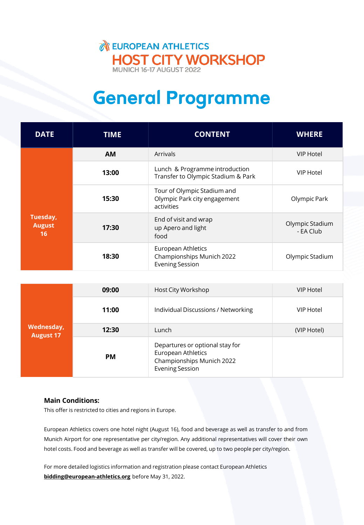### **NEUROPEAN ATHLETICS** HOST CITY WORKSHOP

## General Programme

| <b>DATE</b>                     | <b>TIME</b> | <b>CONTENT</b>                                                            | <b>WHERE</b>                 |
|---------------------------------|-------------|---------------------------------------------------------------------------|------------------------------|
| Tuesday,<br><b>August</b><br>16 | <b>AM</b>   | <b>Arrivals</b>                                                           | <b>VIP Hotel</b>             |
|                                 | 13:00       | Lunch & Programme introduction<br>Transfer to Olympic Stadium & Park      | <b>VIP Hotel</b>             |
|                                 | 15:30       | Tour of Olympic Stadium and<br>Olympic Park city engagement<br>activities | Olympic Park                 |
|                                 | 17:30       | End of visit and wrap<br>up Apero and light<br>food                       | Olympic Stadium<br>- EA Club |
|                                 | 18:30       | European Athletics<br>Championships Munich 2022<br><b>Evening Session</b> | Olympic Stadium              |

| Wednesday,<br><b>August 17</b> | 09:00     | Host City Workshop                                                                                           | VIP Hotel   |
|--------------------------------|-----------|--------------------------------------------------------------------------------------------------------------|-------------|
|                                | 11:00     | Individual Discussions / Networking                                                                          | VIP Hotel   |
|                                | 12:30     | Lunch                                                                                                        | (VIP Hotel) |
|                                | <b>PM</b> | Departures or optional stay for<br>European Athletics<br>Championships Munich 2022<br><b>Evening Session</b> |             |

### **Main Conditions:**

This offer is restricted to cities and regions in Europe.

European Athletics covers one hotel night (August 16), food and beverage as well as transfer to and from Munich Airport for one representative per city/region. Any additional representatives will cover their own hotel costs. Food and beverage as well as transfer will be covered, up to two people per city/region.

For more detailed logistics information and registration please contact European Athletics **[bidding@european-athletics.org](mailto:bidding@european-athletics.org)** before May 31, 2022.